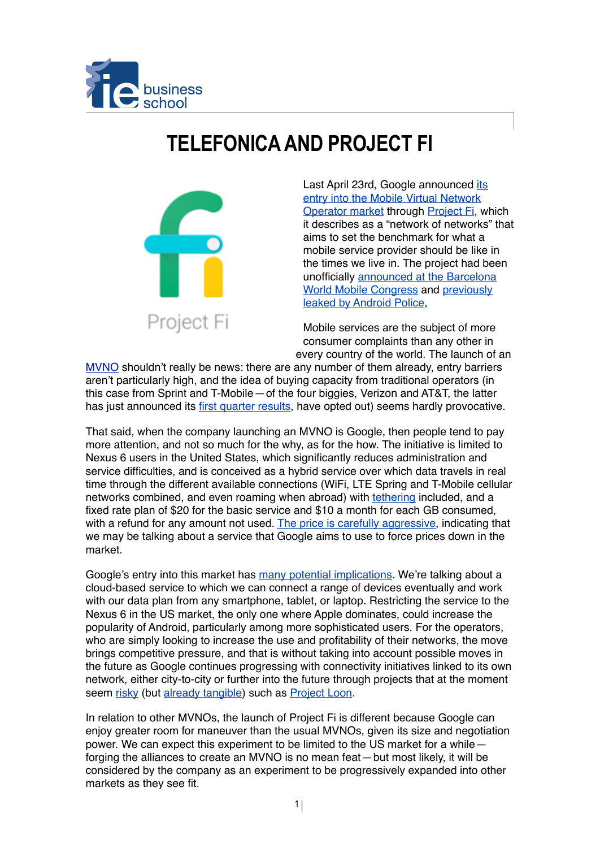

## **TELEFONICA AND PROJECT FI**



[Last April 23rd, Google announced its](http://googleblog.blogspot.com.es/2015/04/project-fi.html)  entry into the Mobile Virtual Network Operator market through [Project Fi](https://fi.google.com/about/), which it describes as a "network of networks" that aims to set the benchmark for what a mobile service provider should be like in the times we live in. The project had been [unofficially announced at the Barcelona](http://9to5google.com/2015/03/02/sundar-pichai-mvno-android-pay-project-titan-mobile-world-congress/)  World Mobile Congress and previously leaked by Android Police,

Mobile services are the subject of more consumer complaints than any other in every country of the world. The launch of an

[MVNO](http://en.wikipedia.org/wiki/Mobile_virtual_network_operator) shouldn't really be news: there are any number of them already, entry barriers aren't particularly high, and the idea of buying capacity from traditional operators (in this case from Sprint and T-Mobile—of the four biggies, Verizon and AT&T, the latter has just announced its [first quarter results,](http://recode.net/2015/04/22/connected-cars-boost-atts-subscriber-count-but-q1-wireless-profit-margins-fall/) have opted out) seems hardly provocative.

That said, when the company launching an MVNO is Google, then people tend to pay more attention, and not so much for the why, as for the how. The initiative is limited to Nexus 6 users in the United States, which significantly reduces administration and service difficulties, and is conceived as a hybrid service over which data travels in real time through the different available connections (WiFi, LTE Spring and T-Mobile cellular networks combined, and even roaming when abroad) with [tethering](https://en.wikipedia.org/wiki/Tethering) included, and a fixed rate plan of \$20 for the basic service and \$10 a month for each GB consumed, with a refund for any amount not used. [The price is carefully aggressive,](http://arstechnica.com/gadgets/2015/04/how-googles-project-fi-pricing-stacks-up-to-the-competition/) indicating that we may be talking about a service that Google aims to use to force prices down in the market.

Google's entry into this market has [many potential implications](http://recode.net/2015/04/22/googles-project-fi-what-it-means-for-consumers-google-and-the-carriers/). We're talking about a cloud-based service to which we can connect a range of devices eventually and work with our data plan from any smartphone, tablet, or laptop. Restricting the service to the Nexus 6 in the US market, the only one where Apple dominates, could increase the popularity of Android, particularly among more sophisticated users. For the operators, who are simply looking to increase the use and profitability of their networks, the move brings competitive pressure, and that is without taking into account possible moves in the future as Google continues progressing with connectivity initiatives linked to its own network, either city-to-city or further into the future through projects that at the moment seem [risky](https://gigaom.com/2013/10/21/with-project-loon-google-is-engineering-a-mobile-network-in-reverse/) (but [already tangible](http://venturebeat.com/2014/11/20/googles-project-loon-can-now-fill-a-balloon-in-under-five-minutes-and-launch-up-to-20-balloons-per-day/)) such as [Project Loon.](http://www.google.es/loon/)

In relation to other MVNOs, the launch of Project Fi is different because Google can enjoy greater room for maneuver than the usual MVNOs, given its size and negotiation power. We can expect this experiment to be limited to the US market for a while forging the alliances to create an MVNO is no mean feat—but most likely, it will be considered by the company as an experiment to be progressively expanded into other markets as they see fit.